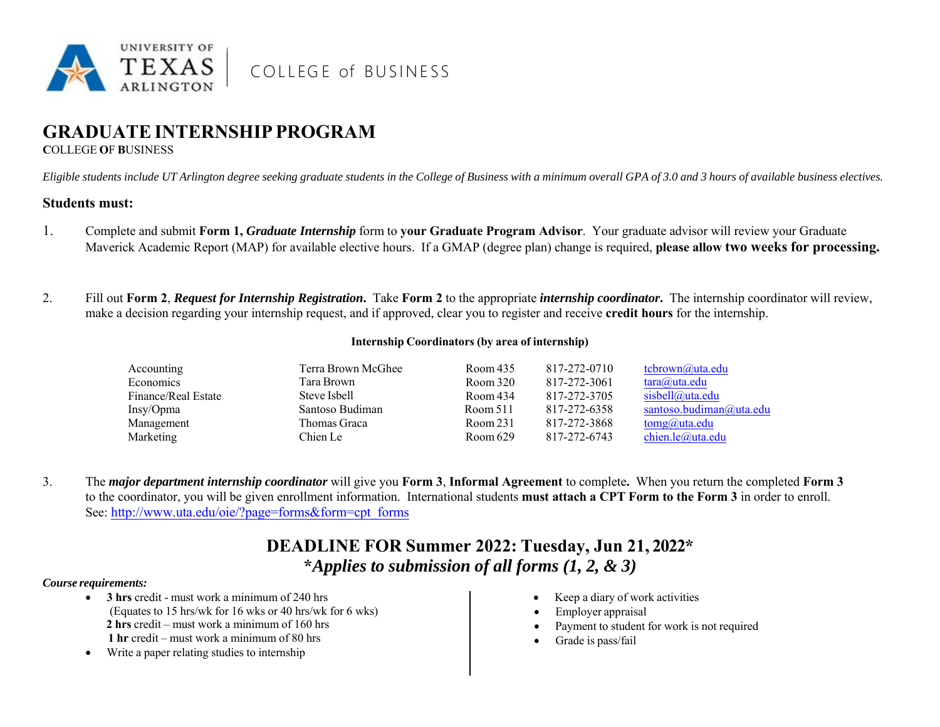

COLLEGE of BUSINESS

# **GRADUATE INTERNSHIP PROGRAM**

**C**OLLEGE **O**F **B**USINESS

*Eligible students include UT Arlington degree seeking graduate students in the College of Business with a minimum overall GPA of 3.0 and 3 hours of available business electives.*

### **Students must:**

- 1. Complete and submit **Form 1,** *Graduate Internship* form to **your Graduate Program Advisor**. Your graduate advisor will review your Graduate Maverick Academic Report (MAP) for available elective hours. If a GMAP (degree plan) change is required, **<sup>p</sup>lease allow two weeks for processing.**
- 2. Fill out **Form 2**, *Request for Internship Registration***.** Take **Form 2** to the appropriate *internship coordinator***.** The internship coordinator will review, make a decision regarding your internship request, and if approved, clear you to register and receive **credit hours** for the internship.

#### **Internship Coordinators (by area of internship)**

| Accounting          | Terra Brown McGhee | Room 435 | 817-272-0710 | tcbrown@uta.edu          |
|---------------------|--------------------|----------|--------------|--------------------------|
| <b>Economics</b>    | Tara Brown         | Room 320 | 817-272-3061 | $\text{tara}(a)$ uta.edu |
| Finance/Real Estate | Steve Isbell       | Room 434 | 817-272-3705 | sisbell@uta.edu          |
| Insy/Opma           | Santoso Budiman    | Room 511 | 817-272-6358 | santoso.budiman@uta.edu  |
| Management          | Thomas Graca       | Room 231 | 817-272-3868 | $t$ omg $(a)$ uta.edu    |
| Marketing           | Chien Le           | Room 629 | 817-272-6743 | chien.le@uta.edu         |

3. The *major department internship coordinator* will <sup>g</sup>ive you **Form 3**, **Informal Agreement** to complete**.** When you return the completed **Form 3** to the coordinator, you will be <sup>g</sup>iven enrollment information. International students **must attach a CPT Form to the Form 3** in order to enroll. See: [http://www.uta.edu/oie/?page=forms&form=cpt\\_forms](http://www.uta.edu/oie/?page=forms&form=cpt_forms)

# **DEADLINE FOR Summer 2022: Tuesday, Jun <sup>21</sup>, <sup>202</sup>2\* \****Applies to submission of all forms (1, 2, & 3)*

#### *Course requirements:*

- **3 hrs** credit must work a minimum of 240 hrs (Equates to 15 hrs/wk for 16 wks or 40 hrs/wk for 6 wks) **2 hrs** credit – must work a minimum of 160 hrs  **1 hr** credit – must work a minimum of 80 hrs
- $\bullet$ Write a paper relating studies to internship
- . Keep a diary of work activities
- 0 Employer appraisal
- . Payment to student for work is not required
- 0 Grade is pass/fail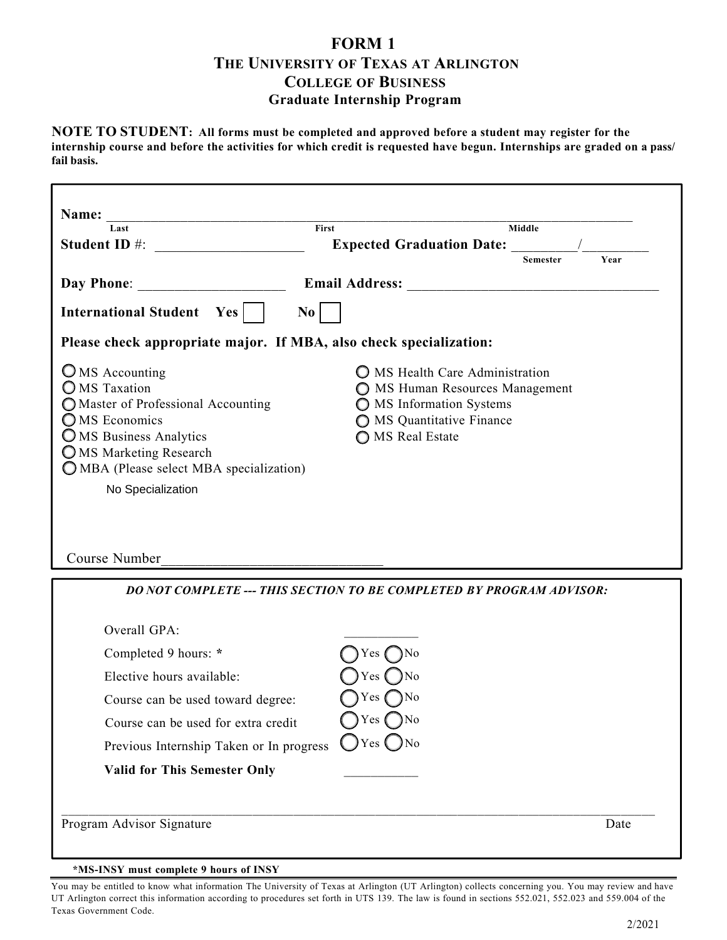## **FORM 1 THE UNIVERSITY OF TEXAS AT ARLINGTON COLLEGE OF BUSINESS Graduate Internship Program**

**NOTE TO STUDENT: All forms must be completed and approved before a student may register for the internship course and before the activities for which credit is requested have begun. Internships are graded on a pass/ fail basis.**

| Last                                                               | First                 |                                                                | <b>Middle</b>   |      |  |
|--------------------------------------------------------------------|-----------------------|----------------------------------------------------------------|-----------------|------|--|
| <b>Student ID #:</b>                                               |                       | <b>Expected Graduation Date:</b>                               |                 |      |  |
|                                                                    |                       |                                                                | <b>Semester</b> | Year |  |
| <b>Day Phone:</b>                                                  | <b>Email Address:</b> |                                                                |                 |      |  |
| <b>International Student</b><br>Yes                                | No                    |                                                                |                 |      |  |
| Please check appropriate major. If MBA, also check specialization: |                       |                                                                |                 |      |  |
| $\bigcirc$ MS Accounting<br><b>MS</b> Taxation                     |                       | MS Health Care Administration<br>MS Human Resources Management |                 |      |  |
| O Master of Professional Accounting<br>OMS Economics               |                       | MS Information Systems<br>MS Quantitative Finance              |                 |      |  |
| OMS Business Analytics                                             |                       | MS Real Estate                                                 |                 |      |  |
| OMS Marketing Research<br>OMBA (Please select MBA specialization)  |                       |                                                                |                 |      |  |
| No Specialization                                                  |                       |                                                                |                 |      |  |
|                                                                    |                       |                                                                |                 |      |  |
|                                                                    |                       |                                                                |                 |      |  |
| Course Number                                                      |                       |                                                                |                 |      |  |

| Course can be used toward degree:        | Yes $\bigcap$ No |  |
|------------------------------------------|------------------|--|
| Course can be used for extra credit      | Yes $\bigcap$ No |  |
| Previous Internship Taken or In progress | $O$ Yes $O$ No   |  |
| <b>Valid for This Semester Only</b>      |                  |  |

**\*MS-INSY must complete 9 hours of INSY**

You may be entitled to know what information The University of Texas at Arlington (UT Arlington) collects concerning you. You may review and have UT Arlington correct this information according to procedures set forth in UTS 139. The law is found in sections 552.021, 552.023 and 559.004 of the Texas Government Code.